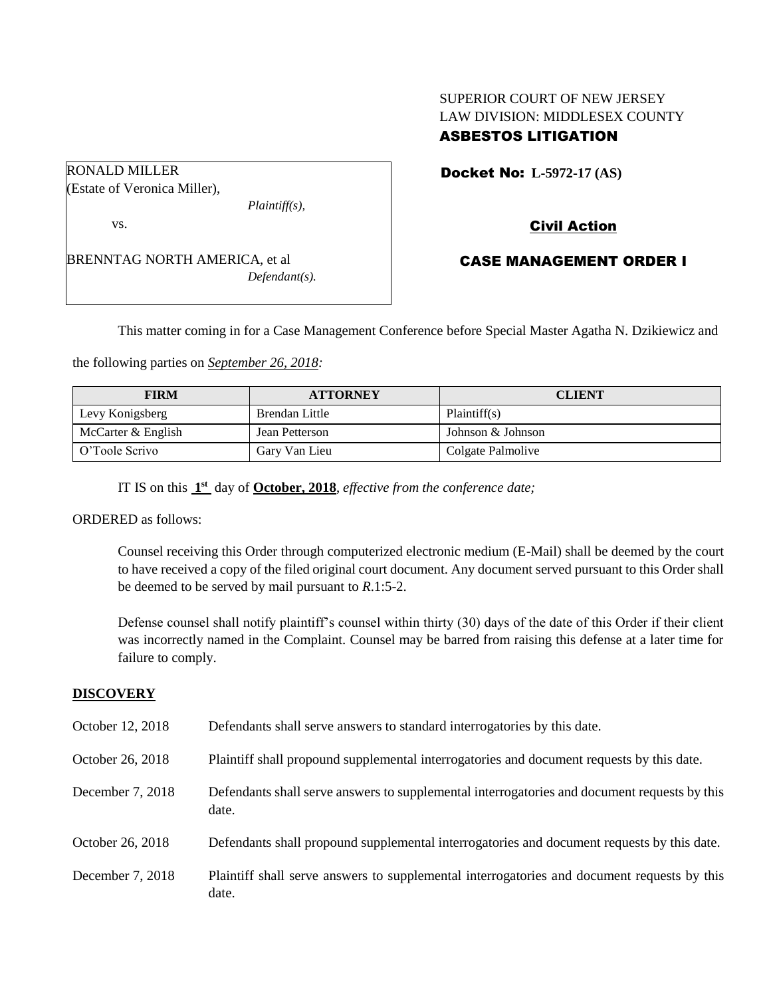# SUPERIOR COURT OF NEW JERSEY LAW DIVISION: MIDDLESEX COUNTY ASBESTOS LITIGATION

Docket No: **L-5972-17 (AS)** 

Civil Action

CASE MANAGEMENT ORDER I

This matter coming in for a Case Management Conference before Special Master Agatha N. Dzikiewicz and

the following parties on *September 26, 2018:*

| <b>FIRM</b>        | <b>ATTORNEY</b> | <b>CLIENT</b>     |
|--------------------|-----------------|-------------------|
| Levy Konigsberg    | Brendan Little  | Plaintiff(s)      |
| McCarter & English | Jean Petterson  | Johnson & Johnson |
| O'Toole Scrivo     | Gary Van Lieu   | Colgate Palmolive |

IT IS on this  $1<sup>st</sup>$  day of **October, 2018**, *effective from the conference date*;

ORDERED as follows:

Counsel receiving this Order through computerized electronic medium (E-Mail) shall be deemed by the court to have received a copy of the filed original court document. Any document served pursuant to this Order shall be deemed to be served by mail pursuant to *R*.1:5-2.

Defense counsel shall notify plaintiff's counsel within thirty (30) days of the date of this Order if their client was incorrectly named in the Complaint. Counsel may be barred from raising this defense at a later time for failure to comply.

## **DISCOVERY**

| October 12, 2018 | Defendants shall serve answers to standard interrogatories by this date.                              |
|------------------|-------------------------------------------------------------------------------------------------------|
| October 26, 2018 | Plaintiff shall propound supplemental interrogatories and document requests by this date.             |
| December 7, 2018 | Defendants shall serve answers to supplemental interrogatories and document requests by this<br>date. |
| October 26, 2018 | Defendants shall propound supplemental interrogatories and document requests by this date.            |
| December 7, 2018 | Plaintiff shall serve answers to supplemental interrogatories and document requests by this<br>date.  |

vs. BRENNTAG NORTH AMERICA, et al

*Plaintiff(s),*

*Defendant(s).*

(Estate of Veronica Miller),

RONALD MILLER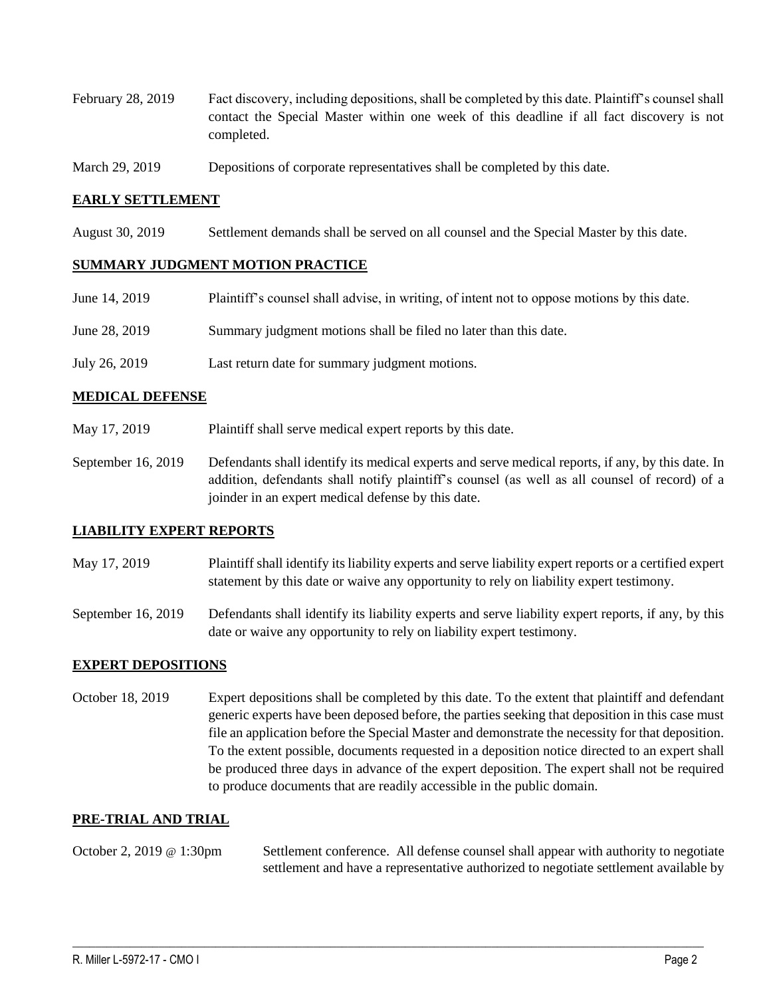- February 28, 2019 Fact discovery, including depositions, shall be completed by this date. Plaintiff's counsel shall contact the Special Master within one week of this deadline if all fact discovery is not completed.
- March 29, 2019 Depositions of corporate representatives shall be completed by this date.

## **EARLY SETTLEMENT**

August 30, 2019 Settlement demands shall be served on all counsel and the Special Master by this date.

### **SUMMARY JUDGMENT MOTION PRACTICE**

| June 14, 2019 | Plaintiff's counsel shall advise, in writing, of intent not to oppose motions by this date. |
|---------------|---------------------------------------------------------------------------------------------|
| June 28, 2019 | Summary judgment motions shall be filed no later than this date.                            |
| July 26, 2019 | Last return date for summary judgment motions.                                              |

### **MEDICAL DEFENSE**

- May 17, 2019 Plaintiff shall serve medical expert reports by this date.
- September 16, 2019 Defendants shall identify its medical experts and serve medical reports, if any, by this date. In addition, defendants shall notify plaintiff's counsel (as well as all counsel of record) of a joinder in an expert medical defense by this date.

#### **LIABILITY EXPERT REPORTS**

- May 17, 2019 Plaintiff shall identify its liability experts and serve liability expert reports or a certified expert statement by this date or waive any opportunity to rely on liability expert testimony.
- September 16, 2019 Defendants shall identify its liability experts and serve liability expert reports, if any, by this date or waive any opportunity to rely on liability expert testimony.

## **EXPERT DEPOSITIONS**

October 18, 2019 Expert depositions shall be completed by this date. To the extent that plaintiff and defendant generic experts have been deposed before, the parties seeking that deposition in this case must file an application before the Special Master and demonstrate the necessity for that deposition. To the extent possible, documents requested in a deposition notice directed to an expert shall be produced three days in advance of the expert deposition. The expert shall not be required to produce documents that are readily accessible in the public domain.

### **PRE-TRIAL AND TRIAL**

October 2, 2019 @ 1:30pm Settlement conference. All defense counsel shall appear with authority to negotiate settlement and have a representative authorized to negotiate settlement available by

 $\_$  ,  $\_$  ,  $\_$  ,  $\_$  ,  $\_$  ,  $\_$  ,  $\_$  ,  $\_$  ,  $\_$  ,  $\_$  ,  $\_$  ,  $\_$  ,  $\_$  ,  $\_$  ,  $\_$  ,  $\_$  ,  $\_$  ,  $\_$  ,  $\_$  ,  $\_$  ,  $\_$  ,  $\_$  ,  $\_$  ,  $\_$  ,  $\_$  ,  $\_$  ,  $\_$  ,  $\_$  ,  $\_$  ,  $\_$  ,  $\_$  ,  $\_$  ,  $\_$  ,  $\_$  ,  $\_$  ,  $\_$  ,  $\_$  ,